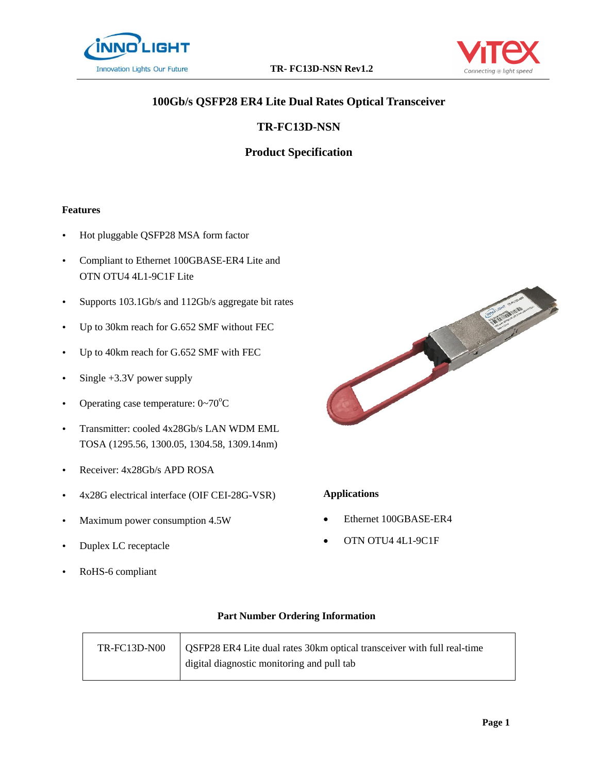



# **100Gb/s QSFP28 ER4 Lite Dual Rates Optical Transceiver**

## **TR-FC13D-NSN**

## **Product Specification**

#### **Features**

- Hot pluggable QSFP28 MSA form factor
- Compliant to Ethernet 100GBASE-ER4 Lite and OTN OTU4 4L1-9C1F Lite
- Supports 103.1Gb/s and 112Gb/s aggregate bit rates
- Up to 30km reach for G.652 SMF without FEC
- Up to 40km reach for G.652 SMF with FEC
- $\cdot$  Single +3.3V power supply
- Operating case temperature:  $0 \sim 70^{\circ}$ C
- Transmitter: cooled 4x28Gb/s LAN WDM EML TOSA (1295.56, 1300.05, 1304.58, 1309.14nm)
- Receiver: 4x28Gb/s APD ROSA
- 4x28G electrical interface (OIF CEI-28G-VSR)
- Maximum power consumption 4.5W
- Duplex LC receptacle
- RoHS-6 compliant



#### **Applications**

- Ethernet 100GBASE-ER4
- OTN OTU4 4L1-9C1F

#### **Part Number Ordering Information**

| TR-FC13D-N00 | <b>QSFP28 ER4 Lite dual rates 30km optical transceiver with full real-time</b> |
|--------------|--------------------------------------------------------------------------------|
|              | digital diagnostic monitoring and pull tab                                     |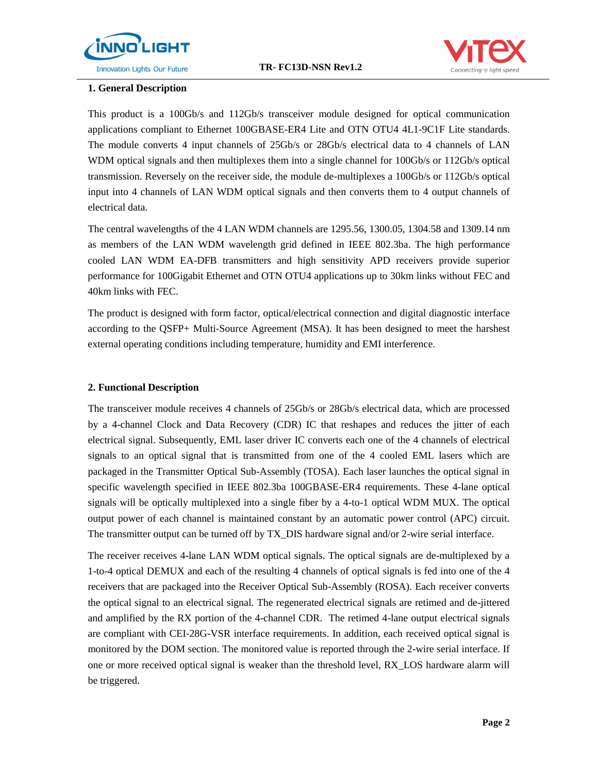



#### **1. General Description**

This product is a 100Gb/s and 112Gb/s transceiver module designed for optical communication applications compliant to Ethernet 100GBASE-ER4 Lite and OTN OTU4 4L1-9C1F Lite standards. The module converts 4 input channels of 25Gb/s or 28Gb/s electrical data to 4 channels of LAN WDM optical signals and then multiplexes them into a single channel for 100Gb/s or 112Gb/s optical transmission. Reversely on the receiver side, the module de-multiplexes a 100Gb/s or 112Gb/s optical input into 4 channels of LAN WDM optical signals and then converts them to 4 output channels of electrical data.

The central wavelengths of the 4 LAN WDM channels are 1295.56, 1300.05, 1304.58 and 1309.14 nm as members of the LAN WDM wavelength grid defined in IEEE 802.3ba. The high performance cooled LAN WDM EA-DFB transmitters and high sensitivity APD receivers provide superior performance for 100Gigabit Ethernet and OTN OTU4 applications up to 30km links without FEC and 40km links with FEC.

The product is designed with form factor, optical/electrical connection and digital diagnostic interface according to the QSFP+ Multi-Source Agreement (MSA). It has been designed to meet the harshest external operating conditions including temperature, humidity and EMI interference.

#### **2. Functional Description**

The transceiver module receives 4 channels of 25Gb/s or 28Gb/s electrical data, which are processed by a 4-channel Clock and Data Recovery (CDR) IC that reshapes and reduces the jitter of each electrical signal. Subsequently, EML laser driver IC converts each one of the 4 channels of electrical signals to an optical signal that is transmitted from one of the 4 cooled EML lasers which are packaged in the Transmitter Optical Sub-Assembly (TOSA). Each laser launches the optical signal in specific wavelength specified in IEEE 802.3ba 100GBASE-ER4 requirements. These 4-lane optical signals will be optically multiplexed into a single fiber by a 4-to-1 optical WDM MUX. The optical output power of each channel is maintained constant by an automatic power control (APC) circuit. The transmitter output can be turned off by TX DIS hardware signal and/or 2-wire serial interface.

The receiver receives 4-lane LAN WDM optical signals. The optical signals are de-multiplexed by a 1-to-4 optical DEMUX and each of the resulting 4 channels of optical signals is fed into one of the 4 receivers that are packaged into the Receiver Optical Sub-Assembly (ROSA). Each receiver converts the optical signal to an electrical signal. The regenerated electrical signals are retimed and de-jittered and amplified by the RX portion of the 4-channel CDR. The retimed 4-lane output electrical signals are compliant with CEI-28G-VSR interface requirements. In addition, each received optical signal is monitored by the DOM section. The monitored value is reported through the 2-wire serial interface. If one or more received optical signal is weaker than the threshold level, RX\_LOS hardware alarm will be triggered.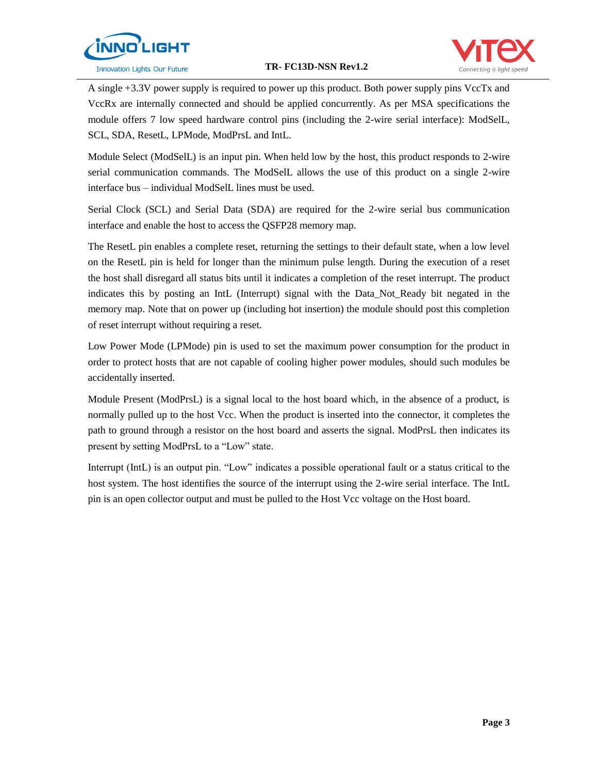



A single +3.3V power supply is required to power up this product. Both power supply pins VccTx and VccRx are internally connected and should be applied concurrently. As per MSA specifications the module offers 7 low speed hardware control pins (including the 2-wire serial interface): ModSelL, SCL, SDA, ResetL, LPMode, ModPrsL and IntL.

Module Select (ModSelL) is an input pin. When held low by the host, this product responds to 2-wire serial communication commands. The ModSelL allows the use of this product on a single 2-wire interface bus – individual ModSelL lines must be used.

Serial Clock (SCL) and Serial Data (SDA) are required for the 2-wire serial bus communication interface and enable the host to access the QSFP28 memory map.

The ResetL pin enables a complete reset, returning the settings to their default state, when a low level on the ResetL pin is held for longer than the minimum pulse length. During the execution of a reset the host shall disregard all status bits until it indicates a completion of the reset interrupt. The product indicates this by posting an IntL (Interrupt) signal with the Data\_Not\_Ready bit negated in the memory map. Note that on power up (including hot insertion) the module should post this completion of reset interrupt without requiring a reset.

Low Power Mode (LPMode) pin is used to set the maximum power consumption for the product in order to protect hosts that are not capable of cooling higher power modules, should such modules be accidentally inserted.

Module Present (ModPrsL) is a signal local to the host board which, in the absence of a product, is normally pulled up to the host Vcc. When the product is inserted into the connector, it completes the path to ground through a resistor on the host board and asserts the signal. ModPrsL then indicates its present by setting ModPrsL to a "Low" state.

Interrupt (IntL) is an output pin. "Low" indicates a possible operational fault or a status critical to the host system. The host identifies the source of the interrupt using the 2-wire serial interface. The IntL pin is an open collector output and must be pulled to the Host Vcc voltage on the Host board.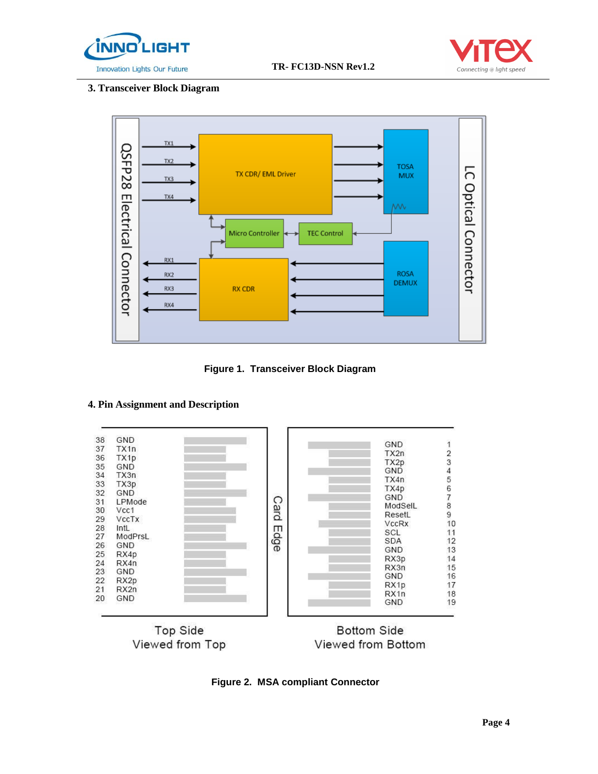



## **3. Transceiver Block Diagram**



**Figure 1. Transceiver Block Diagram**

#### **4. Pin Assignment and Description**



**Figure 2. MSA compliant Connector**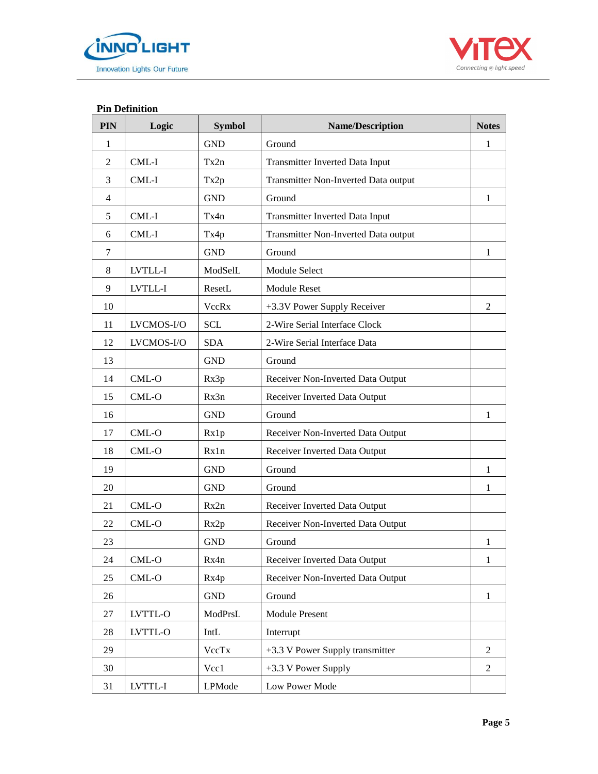



#### **Pin Definition**

| PIN            | Logic      | <b>Symbol</b> | <b>Name/Description</b>              | <b>Notes</b>   |
|----------------|------------|---------------|--------------------------------------|----------------|
| $\mathbf{1}$   |            | <b>GND</b>    | Ground                               | 1              |
| $\overline{2}$ | CML-I      | Tx2n          | Transmitter Inverted Data Input      |                |
| 3              | CML-I      | Tx2p          | Transmitter Non-Inverted Data output |                |
| $\overline{4}$ |            | <b>GND</b>    | Ground                               | $\mathbf{1}$   |
| 5              | CML-I      | Tx4n          | Transmitter Inverted Data Input      |                |
| 6              | CML-I      | Tx4p          | Transmitter Non-Inverted Data output |                |
| 7              |            | <b>GND</b>    | Ground                               | 1              |
| 8              | LVTLL-I    | ModSelL       | Module Select                        |                |
| 9              | LVTLL-I    | ResetL        | <b>Module Reset</b>                  |                |
| 10             |            | VccRx         | +3.3V Power Supply Receiver          | $\overline{2}$ |
| 11             | LVCMOS-I/O | <b>SCL</b>    | 2-Wire Serial Interface Clock        |                |
| 12             | LVCMOS-I/O | <b>SDA</b>    | 2-Wire Serial Interface Data         |                |
| 13             |            | <b>GND</b>    | Ground                               |                |
| 14             | CML-O      | Rx3p          | Receiver Non-Inverted Data Output    |                |
| 15             | CML-O      | Rx3n          | Receiver Inverted Data Output        |                |
| 16             |            | <b>GND</b>    | Ground                               | $\mathbf{1}$   |
| 17             | $CML-O$    | Rx1p          | Receiver Non-Inverted Data Output    |                |
| 18             | CML-O      | Rx1n          | Receiver Inverted Data Output        |                |
| 19             |            | <b>GND</b>    | Ground                               | $\mathbf{1}$   |
| 20             |            | <b>GND</b>    | Ground                               | 1              |
| 21             | $CML-O$    | Rx2n          | Receiver Inverted Data Output        |                |
| 22             | CML-O      | Rx2p          | Receiver Non-Inverted Data Output    |                |
| 23             |            | <b>GND</b>    | Ground                               | 1              |
| 24             | $CML-O$    | Rx4n          | Receiver Inverted Data Output        | $\mathbf{1}$   |
| 25             | $CML-O$    | Rx4p          | Receiver Non-Inverted Data Output    |                |
| 26             |            | <b>GND</b>    | Ground                               | 1              |
| 27             | LVTTL-O    | ModPrsL       | <b>Module Present</b>                |                |
| 28             | LVTTL-O    | IntL          | Interrupt                            |                |
| 29             |            | VccTx         | $+3.3$ V Power Supply transmitter    | $\overline{2}$ |
| 30             |            | Vcc1          | +3.3 V Power Supply                  | $\overline{c}$ |
| 31             | LVTTL-I    | LPMode        | Low Power Mode                       |                |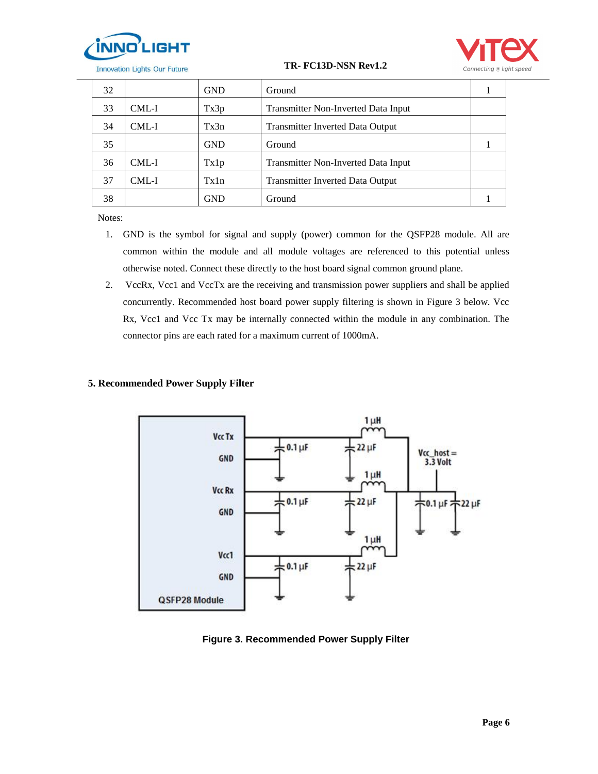



| 32 |       | <b>GND</b> | Ground                                  |  |
|----|-------|------------|-----------------------------------------|--|
| 33 | CML-I | Tx3p       | Transmitter Non-Inverted Data Input     |  |
| 34 | CML-I | Tx3n       | <b>Transmitter Inverted Data Output</b> |  |
| 35 |       | <b>GND</b> | Ground                                  |  |
| 36 | CML-I | Tx1p       | Transmitter Non-Inverted Data Input     |  |
| 37 | CML-I | Tx1n       | <b>Transmitter Inverted Data Output</b> |  |
| 38 |       | GND        | Ground                                  |  |

Notes:

- 1. GND is the symbol for signal and supply (power) common for the QSFP28 module. All are common within the module and all module voltages are referenced to this potential unless otherwise noted. Connect these directly to the host board signal common ground plane.
- 2. VccRx, Vcc1 and VccTx are the receiving and transmission power suppliers and shall be applied concurrently. Recommended host board power supply filtering is shown in Figure 3 below. Vcc Rx, Vcc1 and Vcc Tx may be internally connected within the module in any combination. The connector pins are each rated for a maximum current of 1000mA.

## **5. Recommended Power Supply Filter**



**Figure 3. Recommended Power Supply Filter**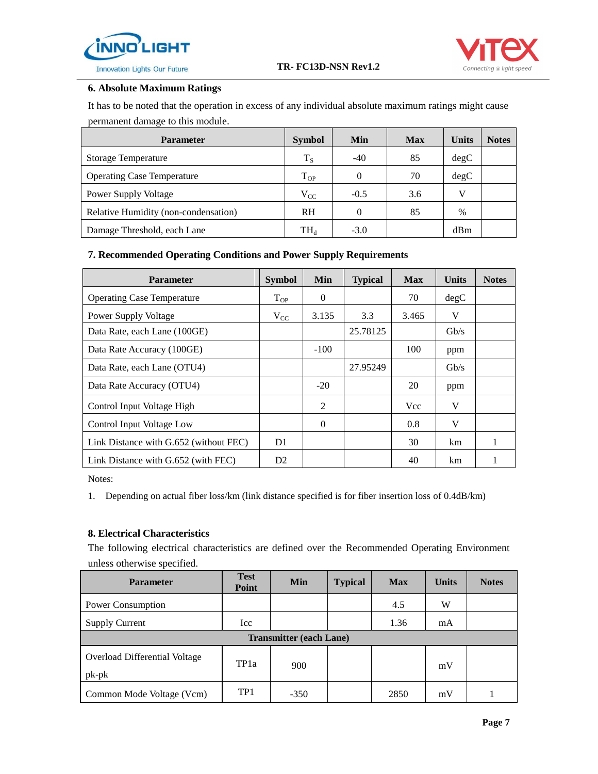



#### **6. Absolute Maximum Ratings**

It has to be noted that the operation in excess of any individual absolute maximum ratings might cause permanent damage to this module.

| <b>Parameter</b>                     | <b>Symbol</b>            | Min    | <b>Max</b> | <b>Units</b> | <b>Notes</b> |
|--------------------------------------|--------------------------|--------|------------|--------------|--------------|
| <b>Storage Temperature</b>           | $T_S$                    | $-40$  | 85         | degC         |              |
| <b>Operating Case Temperature</b>    | $T_{OP}$                 |        | 70         | degC         |              |
| Power Supply Voltage                 | $V_{CC}$                 | $-0.5$ | 3.6        | V            |              |
| Relative Humidity (non-condensation) | <b>RH</b>                |        | 85         | $\%$         |              |
| Damage Threshold, each Lane          | $\mathrm{TH}_\mathrm{d}$ | $-3.0$ |            | dBm          |              |

## **7. Recommended Operating Conditions and Power Supply Requirements**

| <b>Parameter</b>                       | <b>Symbol</b>  | Min      | <b>Typical</b> | <b>Max</b> | <b>Units</b> | <b>Notes</b> |
|----------------------------------------|----------------|----------|----------------|------------|--------------|--------------|
| <b>Operating Case Temperature</b>      | $T_{OP}$       | $\Omega$ |                | 70         | degC         |              |
| <b>Power Supply Voltage</b>            | $V_{CC}$       | 3.135    | 3.3            | 3.465      | V            |              |
| Data Rate, each Lane (100GE)           |                |          | 25.78125       |            | Gb/s         |              |
| Data Rate Accuracy (100GE)             |                | $-100$   |                | 100        | ppm          |              |
| Data Rate, each Lane (OTU4)            |                |          | 27.95249       |            | $\rm{Gb/s}$  |              |
| Data Rate Accuracy (OTU4)              |                | $-20$    |                | 20         | ppm          |              |
| Control Input Voltage High             |                | 2        |                | <b>Vcc</b> | V            |              |
| Control Input Voltage Low              |                | $\Omega$ |                | 0.8        | V            |              |
| Link Distance with G.652 (without FEC) | D1             |          |                | 30         | km           |              |
| Link Distance with G.652 (with FEC)    | D <sub>2</sub> |          |                | 40         | km           |              |

Notes:

1. Depending on actual fiber loss/km (link distance specified is for fiber insertion loss of 0.4dB/km)

#### **8. Electrical Characteristics**

The following electrical characteristics are defined over the Recommended Operating Environment unless otherwise specified.

| <b>Parameter</b>                                | <b>Test</b><br>Point | Min                            | <b>Typical</b> | <b>Max</b> | <b>Units</b> | <b>Notes</b> |
|-------------------------------------------------|----------------------|--------------------------------|----------------|------------|--------------|--------------|
| Power Consumption                               |                      |                                |                | 4.5        | W            |              |
| <b>Supply Current</b>                           | Icc                  |                                |                | 1.36       | mA           |              |
|                                                 |                      | <b>Transmitter (each Lane)</b> |                |            |              |              |
| <b>Overload Differential Voltage</b><br>$pk-pk$ | TP <sub>1</sub> a    | 900                            |                |            | mV           |              |
| Common Mode Voltage (Vcm)                       | TP <sub>1</sub>      | $-350$                         |                | 2850       | mV           |              |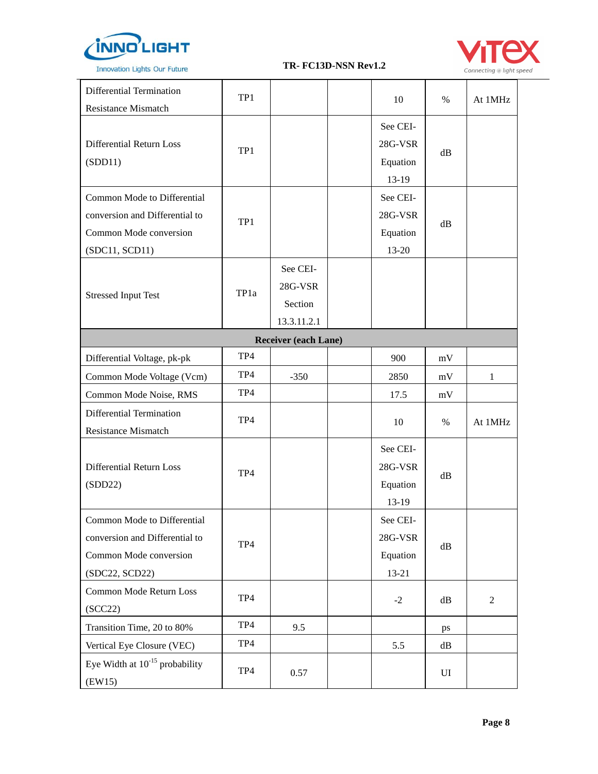



| Differential Termination<br><b>Resistance Mismatch</b>                                                    | TP1  |                                               | 10                                             | $\%$          | At 1MHz        |
|-----------------------------------------------------------------------------------------------------------|------|-----------------------------------------------|------------------------------------------------|---------------|----------------|
| Differential Return Loss<br>(SDD11)                                                                       | TP1  |                                               | See CEI-<br>28G-VSR<br>Equation<br>13-19       | dB            |                |
| Common Mode to Differential<br>conversion and Differential to<br>Common Mode conversion<br>(SDC11, SCD11) | TP1  |                                               | See CEI-<br>28G-VSR<br>Equation<br>13-20       | dB            |                |
| <b>Stressed Input Test</b>                                                                                | TP1a | See CEI-<br>28G-VSR<br>Section<br>13.3.11.2.1 |                                                |               |                |
|                                                                                                           |      | <b>Receiver (each Lane)</b>                   |                                                |               |                |
| Differential Voltage, pk-pk                                                                               | TP4  |                                               | 900                                            | mV            |                |
| Common Mode Voltage (Vcm)                                                                                 | TP4  | $-350$                                        | 2850                                           | mV            | $\mathbf{1}$   |
| Common Mode Noise, RMS                                                                                    | TP4  |                                               | 17.5                                           | mV            |                |
| Differential Termination<br><b>Resistance Mismatch</b>                                                    | TP4  |                                               | 10                                             | %             | At 1MHz        |
| Differential Return Loss<br>(SDD22)                                                                       | TP4  |                                               | See CEI-<br>$28G-VSR$<br>Equation<br>13-19     | dB            |                |
| Common Mode to Differential<br>conversion and Differential to<br>Common Mode conversion<br>(SDC22, SCD22) | TP4  |                                               | See CEI-<br>$28G-VSR$<br>Equation<br>$13 - 21$ | $\mathrm{dB}$ |                |
| Common Mode Return Loss<br>(SCC22)                                                                        | TP4  |                                               | $-2$                                           | dB            | $\overline{2}$ |
| Transition Time, 20 to 80%                                                                                | TP4  | 9.5                                           |                                                | ps            |                |
| Vertical Eye Closure (VEC)                                                                                | TP4  |                                               | 5.5                                            | dB            |                |
| Eye Width at $10^{-15}$ probability<br>(EW15)                                                             | TP4  | 0.57                                          |                                                | UI            |                |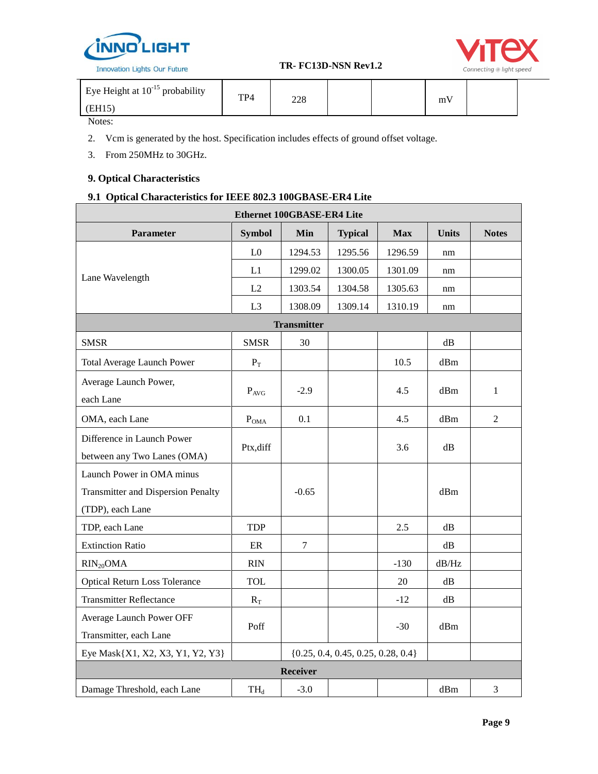

| Eye Height at $10^{-15}$ probability | TPA | າາດ |  | m |  |
|--------------------------------------|-----|-----|--|---|--|
| (FH15)                               |     | ∠∠€ |  |   |  |
| $\mathbf{v}$                         |     |     |  |   |  |

Notes:

2. Vcm is generated by the host. Specification includes effects of ground offset voltage.

3. From 250MHz to 30GHz.

## **9. Optical Characteristics**

## **9.1 Optical Characteristics for IEEE 802.3 100GBASE-ER4 Lite**

| <b>Ethernet 100GBASE-ER4 Lite</b>                                                                        |                |                    |                                        |         |               |                |  |  |  |  |
|----------------------------------------------------------------------------------------------------------|----------------|--------------------|----------------------------------------|---------|---------------|----------------|--|--|--|--|
| <b>Parameter</b><br><b>Symbol</b><br><b>Units</b><br><b>Notes</b><br>Min<br><b>Typical</b><br><b>Max</b> |                |                    |                                        |         |               |                |  |  |  |  |
|                                                                                                          | L <sub>0</sub> | 1294.53            | 1295.56                                | 1296.59 | nm            |                |  |  |  |  |
| Lane Wavelength                                                                                          | L1             | 1299.02            | 1300.05                                | 1301.09 | nm            |                |  |  |  |  |
|                                                                                                          | L2             | 1303.54            | 1304.58                                | 1305.63 | nm            |                |  |  |  |  |
|                                                                                                          | L <sub>3</sub> | 1308.09            | 1309.14                                | 1310.19 | nm            |                |  |  |  |  |
|                                                                                                          |                | <b>Transmitter</b> |                                        |         |               |                |  |  |  |  |
| <b>SMSR</b>                                                                                              | <b>SMSR</b>    | 30                 |                                        |         | $\mathrm{dB}$ |                |  |  |  |  |
| Total Average Launch Power                                                                               | $P_T$          |                    |                                        | 10.5    | dBm           |                |  |  |  |  |
| Average Launch Power,<br>each Lane                                                                       | $P_{AVG}$      | $-2.9$             |                                        | 4.5     | dBm           | $\mathbf{1}$   |  |  |  |  |
| OMA, each Lane                                                                                           | $P_{OMA}$      | 0.1                |                                        | 4.5     | dBm           | $\overline{2}$ |  |  |  |  |
| Difference in Launch Power<br>between any Two Lanes (OMA)                                                | Ptx, diff      |                    |                                        | 3.6     | dB            |                |  |  |  |  |
| Launch Power in OMA minus                                                                                |                |                    |                                        |         |               |                |  |  |  |  |
| <b>Transmitter and Dispersion Penalty</b><br>(TDP), each Lane                                            |                | $-0.65$            |                                        |         | dBm           |                |  |  |  |  |
| TDP, each Lane                                                                                           | <b>TDP</b>     |                    |                                        | 2.5     | $\mathrm{dB}$ |                |  |  |  |  |
| <b>Extinction Ratio</b>                                                                                  | $\rm ER$       | $\tau$             |                                        |         | $\mathrm{dB}$ |                |  |  |  |  |
| $RIN_{20}OMA$                                                                                            | RIN            |                    |                                        | $-130$  | dB/Hz         |                |  |  |  |  |
| <b>Optical Return Loss Tolerance</b>                                                                     | <b>TOL</b>     |                    |                                        | 20      | dB            |                |  |  |  |  |
| <b>Transmitter Reflectance</b>                                                                           | $R_T$          |                    |                                        | $-12$   | $\mathrm{dB}$ |                |  |  |  |  |
| Average Launch Power OFF<br>Transmitter, each Lane                                                       | Poff           |                    |                                        | $-30$   | dBm           |                |  |  |  |  |
| Eye Mask{X1, X2, X3, Y1, Y2, Y3}                                                                         |                |                    | $\{0.25, 0.4, 0.45, 0.25, 0.28, 0.4\}$ |         |               |                |  |  |  |  |
|                                                                                                          |                | Receiver           |                                        |         |               |                |  |  |  |  |
| Damage Threshold, each Lane                                                                              | $TH_d$         | $-3.0$             |                                        |         | dBm           | 3              |  |  |  |  |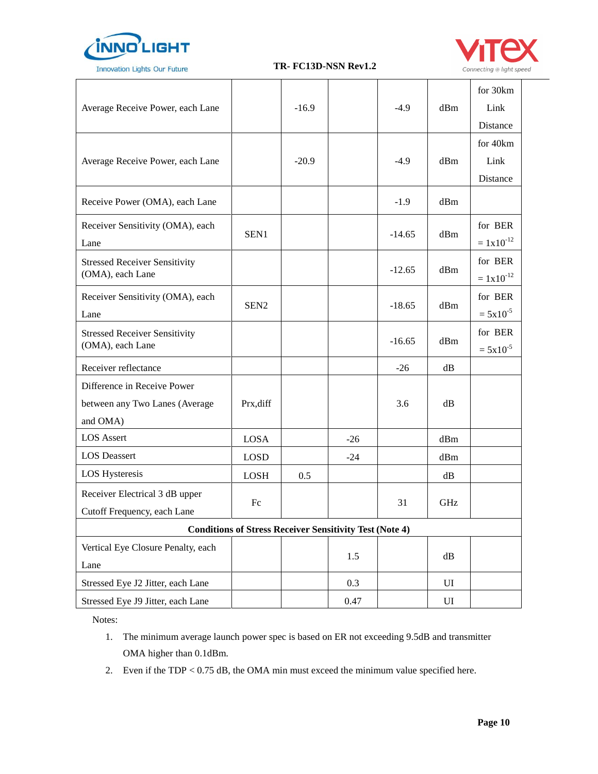



| Average Receive Power, each Lane                                          |                                                                | $-16.9$ |       | $-4.9$   | dBm | for 30km<br>Link<br>Distance |
|---------------------------------------------------------------------------|----------------------------------------------------------------|---------|-------|----------|-----|------------------------------|
| Average Receive Power, each Lane                                          |                                                                | $-20.9$ |       | $-4.9$   | dBm | for 40km<br>Link<br>Distance |
| Receive Power (OMA), each Lane                                            |                                                                |         |       | $-1.9$   | dBm |                              |
| Receiver Sensitivity (OMA), each<br>Lane                                  | SEN1                                                           |         |       | $-14.65$ | dBm | for BER<br>$= 1x10^{-12}$    |
| <b>Stressed Receiver Sensitivity</b><br>(OMA), each Lane                  |                                                                |         |       | $-12.65$ | dBm | for BER<br>$= 1x10^{-12}$    |
| Receiver Sensitivity (OMA), each<br>Lane                                  | SEN <sub>2</sub>                                               |         |       | $-18.65$ | dBm | for BER<br>$= 5x10^{-5}$     |
| <b>Stressed Receiver Sensitivity</b><br>(OMA), each Lane                  |                                                                |         |       | $-16.65$ | dBm | for BER<br>$= 5x10^{-5}$     |
| Receiver reflectance                                                      |                                                                |         |       | $-26$    | dB  |                              |
| Difference in Receive Power<br>between any Two Lanes (Average<br>and OMA) | Prx, diff                                                      |         |       | 3.6      | dB  |                              |
| <b>LOS</b> Assert                                                         | <b>LOSA</b>                                                    |         | $-26$ |          | dBm |                              |
| <b>LOS</b> Deassert                                                       | <b>LOSD</b>                                                    |         | $-24$ |          | dBm |                              |
| <b>LOS Hysteresis</b>                                                     | <b>LOSH</b>                                                    | 0.5     |       |          | dB  |                              |
| Receiver Electrical 3 dB upper<br>Cutoff Frequency, each Lane             | Fc                                                             |         |       | 31       | GHz |                              |
|                                                                           | <b>Conditions of Stress Receiver Sensitivity Test (Note 4)</b> |         |       |          |     |                              |
| Vertical Eye Closure Penalty, each<br>Lane                                |                                                                |         | 1.5   |          | dB  |                              |
| Stressed Eye J2 Jitter, each Lane                                         |                                                                |         | 0.3   |          | UI  |                              |
| Stressed Eye J9 Jitter, each Lane                                         |                                                                |         | 0.47  |          | UI  |                              |

Notes:

- 1. The minimum average launch power spec is based on ER not exceeding 9.5dB and transmitter OMA higher than 0.1dBm.
- 2. Even if the TDP < 0.75 dB, the OMA min must exceed the minimum value specified here.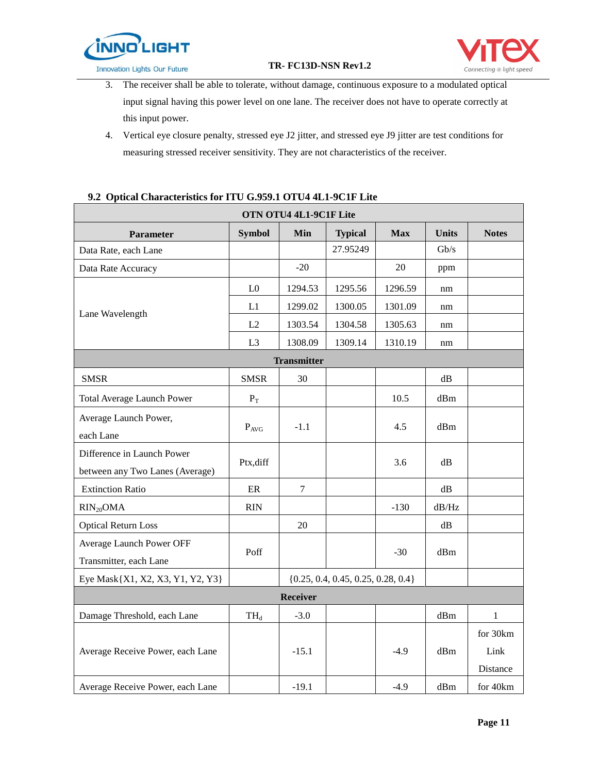



- 3. The receiver shall be able to tolerate, without damage, continuous exposure to a modulated optical input signal having this power level on one lane. The receiver does not have to operate correctly at this input power.
- 4. Vertical eye closure penalty, stressed eye J2 jitter, and stressed eye J9 jitter are test conditions for measuring stressed receiver sensitivity. They are not characteristics of the receiver.

## **9.2 Optical Characteristics for ITU G.959.1 OTU4 4L1-9C1F Lite**

|                                                               |                         | OTN OTU4 4L1-9C1F Lite |                                        |            |               |                              |
|---------------------------------------------------------------|-------------------------|------------------------|----------------------------------------|------------|---------------|------------------------------|
| <b>Parameter</b>                                              | <b>Symbol</b>           | Min                    | <b>Typical</b>                         | <b>Max</b> | <b>Units</b>  | <b>Notes</b>                 |
| Data Rate, each Lane                                          |                         |                        | 27.95249                               |            | Gb/s          |                              |
| Data Rate Accuracy                                            |                         | $-20$                  |                                        | 20         | ppm           |                              |
|                                                               | L <sub>0</sub>          | 1294.53                | 1295.56                                | 1296.59    | nm            |                              |
| Lane Wavelength                                               | L1                      | 1299.02                | 1300.05                                | 1301.09    | nm            |                              |
|                                                               | L2                      | 1303.54                | 1304.58                                | 1305.63    | nm            |                              |
|                                                               | L <sub>3</sub>          | 1308.09                | 1309.14                                | 1310.19    | nm            |                              |
|                                                               |                         | <b>Transmitter</b>     |                                        |            |               |                              |
| <b>SMSR</b>                                                   | <b>SMSR</b>             | 30                     |                                        |            | $\mathrm{dB}$ |                              |
| <b>Total Average Launch Power</b>                             | $\mathbf{P}_\mathrm{T}$ |                        |                                        | 10.5       | dBm           |                              |
| Average Launch Power,<br>each Lane                            | $P_{AVG}$               | $-1.1$                 |                                        | 4.5        | dBm           |                              |
| Difference in Launch Power<br>between any Two Lanes (Average) | Ptx, diff               |                        |                                        | 3.6        | dB            |                              |
| <b>Extinction Ratio</b>                                       | $\rm ER$                | $\tau$                 |                                        |            | dB            |                              |
| $RIN_{20}OMA$                                                 | <b>RIN</b>              |                        |                                        | $-130$     | dB/Hz         |                              |
| <b>Optical Return Loss</b>                                    |                         | 20                     |                                        |            | dB            |                              |
| Average Launch Power OFF<br>Transmitter, each Lane            | Poff                    |                        |                                        | $-30$      | dBm           |                              |
| Eye Mask{X1, X2, X3, Y1, Y2, Y3}                              |                         |                        | $\{0.25, 0.4, 0.45, 0.25, 0.28, 0.4\}$ |            |               |                              |
|                                                               |                         | <b>Receiver</b>        |                                        |            |               |                              |
| Damage Threshold, each Lane                                   | $TH_d$                  | $-3.0$                 |                                        |            | dBm           | $\mathbf{1}$                 |
| Average Receive Power, each Lane                              |                         | $-15.1$                |                                        | $-4.9$     | dBm           | for 30km<br>Link<br>Distance |
| Average Receive Power, each Lane                              |                         | $-19.1$                |                                        | $-4.9$     | dBm           | for 40km                     |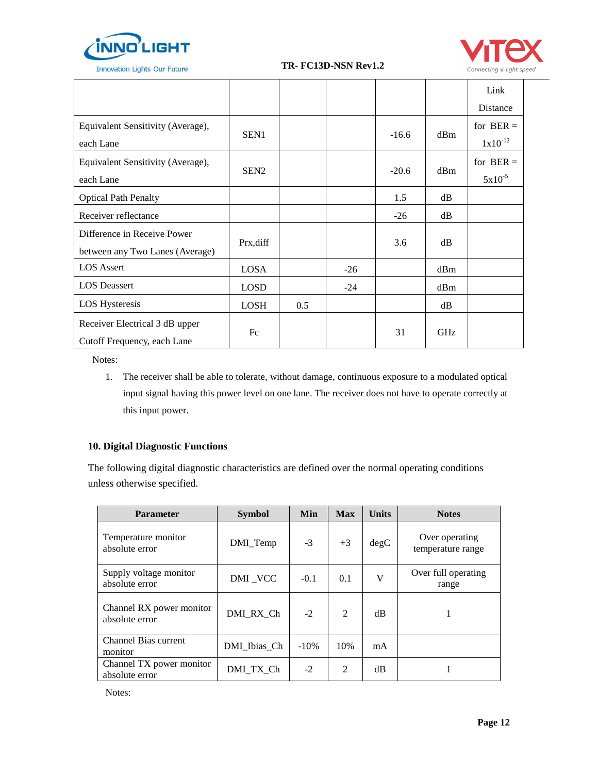



|                                                               |                  |     |       |         |            | Link         |
|---------------------------------------------------------------|------------------|-----|-------|---------|------------|--------------|
|                                                               |                  |     |       |         |            | Distance     |
| Equivalent Sensitivity (Average),                             | SEN1             |     |       | $-16.6$ | dBm        | for $BER =$  |
| each Lane                                                     |                  |     |       |         |            | $1x10^{-12}$ |
| Equivalent Sensitivity (Average),                             | SEN <sub>2</sub> |     |       | $-20.6$ | dBm        | for $BER =$  |
| each Lane                                                     |                  |     |       |         |            | $5x10^{-5}$  |
| <b>Optical Path Penalty</b>                                   |                  |     |       | 1.5     | dB         |              |
| Receiver reflectance                                          |                  |     |       | $-26$   | dB         |              |
| Difference in Receive Power                                   |                  |     |       | 3.6     | dB         |              |
| between any Two Lanes (Average)                               | Prx, diff        |     |       |         |            |              |
| <b>LOS</b> Assert                                             | <b>LOSA</b>      |     | $-26$ |         | dBm        |              |
| <b>LOS</b> Deassert                                           | <b>LOSD</b>      |     | $-24$ |         | dBm        |              |
| <b>LOS Hysteresis</b>                                         | <b>LOSH</b>      | 0.5 |       |         | dB         |              |
| Receiver Electrical 3 dB upper<br>Cutoff Frequency, each Lane | Fc               |     |       | 31      | <b>GHz</b> |              |

Notes:

1. The receiver shall be able to tolerate, without damage, continuous exposure to a modulated optical input signal having this power level on one lane. The receiver does not have to operate correctly at this input power.

## **10. Digital Diagnostic Functions**

The following digital diagnostic characteristics are defined over the normal operating conditions unless otherwise specified.

| <b>Parameter</b>                           | <b>Symbol</b> | Min    | <b>Max</b> | <b>Units</b> | <b>Notes</b>                        |
|--------------------------------------------|---------------|--------|------------|--------------|-------------------------------------|
| Temperature monitor<br>absolute error      | DMI_Temp      | $-3$   | $+3$       | degC         | Over operating<br>temperature range |
| Supply voltage monitor<br>absolute error   | DMI_VCC       | $-0.1$ | 0.1        | V            | Over full operating<br>range        |
| Channel RX power monitor<br>absolute error | DMI RX Ch     | $-2$   | 2          | dB           |                                     |
| <b>Channel Bias current</b><br>monitor     | DMI_Ibias_Ch  | $-10%$ | 10%        | mA           |                                     |
| Channel TX power monitor<br>absolute error | DMI TX Ch     | $-2$   | 2          | dB           |                                     |

Notes: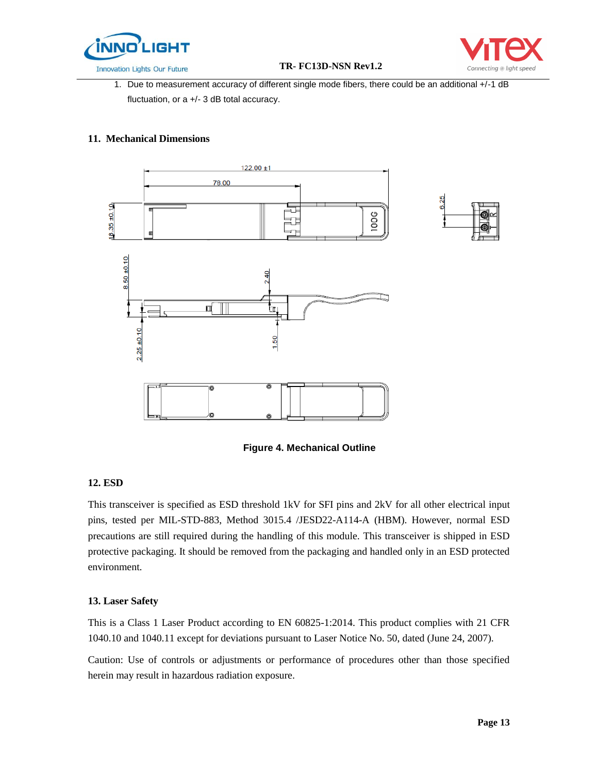



1. Due to measurement accuracy of different single mode fibers, there could be an additional +/-1 dB fluctuation, or a +/- 3 dB total accuracy.

#### **11. Mechanical Dimensions**



 **Figure 4. Mechanical Outline** 

#### **12. ESD**

This transceiver is specified as ESD threshold 1kV for SFI pins and 2kV for all other electrical input pins, tested per MIL-STD-883, Method 3015.4 /JESD22-A114-A (HBM). However, normal ESD precautions are still required during the handling of this module. This transceiver is shipped in ESD protective packaging. It should be removed from the packaging and handled only in an ESD protected environment.

#### **13. Laser Safety**

This is a Class 1 Laser Product according to EN 60825-1:2014. This product complies with 21 CFR 1040.10 and 1040.11 except for deviations pursuant to Laser Notice No. 50, dated (June 24, 2007).

Caution: Use of controls or adjustments or performance of procedures other than those specified herein may result in hazardous radiation exposure.